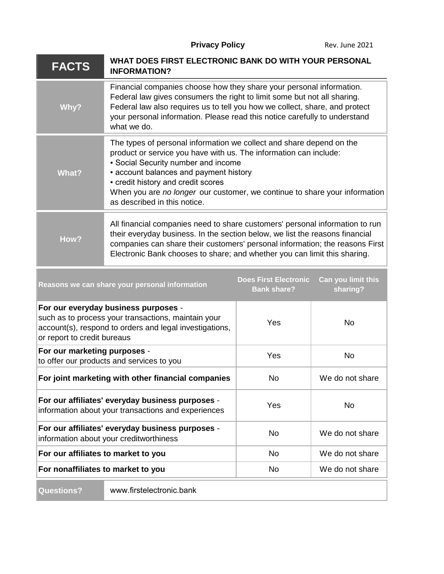**Privacy Policy Rev. June 2021** 

| <b>FACTS</b>                                                                                                                                                                          | WHAT DOES FIRST ELECTRONIC BANK DO WITH YOUR PERSONAL<br><b>INFORMATION?</b>                                                                                                                                                                                                                                                                                                   |                                                    |                                |
|---------------------------------------------------------------------------------------------------------------------------------------------------------------------------------------|--------------------------------------------------------------------------------------------------------------------------------------------------------------------------------------------------------------------------------------------------------------------------------------------------------------------------------------------------------------------------------|----------------------------------------------------|--------------------------------|
| Why?                                                                                                                                                                                  | Financial companies choose how they share your personal information.<br>Federal law gives consumers the right to limit some but not all sharing.<br>Federal law also requires us to tell you how we collect, share, and protect<br>your personal information. Please read this notice carefully to understand<br>what we do.                                                   |                                                    |                                |
| <b>What?</b>                                                                                                                                                                          | The types of personal information we collect and share depend on the<br>product or service you have with us. The information can include:<br>• Social Security number and income<br>- account balances and payment history<br>- credit history and credit scores<br>When you are no longer our customer, we continue to share your information<br>as described in this notice. |                                                    |                                |
| How?                                                                                                                                                                                  | All financial companies need to share customers' personal information to run<br>their everyday business. In the section below, we list the reasons financial<br>companies can share their customers' personal information; the reasons First<br>Electronic Bank chooses to share; and whether you can limit this sharing.                                                      |                                                    |                                |
| Reasons we can share your personal information                                                                                                                                        |                                                                                                                                                                                                                                                                                                                                                                                | <b>Does First Electronic</b><br><b>Bank share?</b> | Can you limit this<br>sharing? |
| For our everyday business purposes -<br>such as to process your transactions, maintain your<br>account(s), respond to orders and legal investigations,<br>or report to credit bureaus |                                                                                                                                                                                                                                                                                                                                                                                | Yes                                                | <b>No</b>                      |
| For our marketing purposes -<br>to offer our products and services to you                                                                                                             |                                                                                                                                                                                                                                                                                                                                                                                | Yes                                                | <b>No</b>                      |
| For joint marketing with other financial companies                                                                                                                                    |                                                                                                                                                                                                                                                                                                                                                                                | No                                                 | We do not share                |
| For our affiliates' everyday business purposes -<br>information about your transactions and experiences                                                                               |                                                                                                                                                                                                                                                                                                                                                                                | Yes                                                | <b>No</b>                      |
| For our affiliates' everyday business purposes -<br>information about your creditworthiness                                                                                           |                                                                                                                                                                                                                                                                                                                                                                                | <b>No</b>                                          | We do not share                |
| For our affiliates to market to you                                                                                                                                                   |                                                                                                                                                                                                                                                                                                                                                                                | No                                                 | We do not share                |
| For nonaffiliates to market to you                                                                                                                                                    |                                                                                                                                                                                                                                                                                                                                                                                | No                                                 | We do not share                |
| <b>Questions?</b>                                                                                                                                                                     | www.firstelectronic.bank                                                                                                                                                                                                                                                                                                                                                       |                                                    |                                |